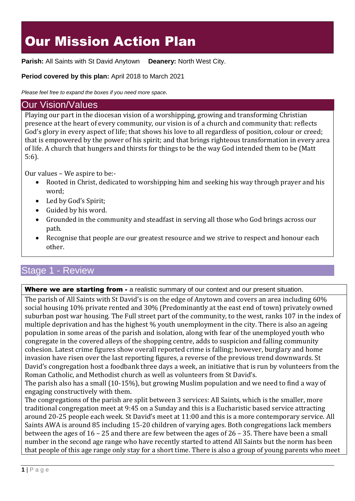# Our Mission Action Plan

**Parish:** All Saints with St David Anytown **Deanery:** North West City.

#### **Period covered by this plan:** April 2018 to March 2021

*Please feel free to expand the boxes if you need more space.*

### Our Vision/Values

Playing our part in the diocesan vision of a worshipping, growing and transforming Christian presence at the heart of every community, our vision is of a church and community that: reflects God's glory in every aspect of life; that shows his love to all regardless of position, colour or creed; that is empowered by the power of his spirit; and that brings righteous transformation in every area of life. A church that hungers and thirsts for things to be the way God intended them to be (Matt 5:6).

Our values – We aspire to be:-

- Rooted in Christ, dedicated to worshipping him and seeking his way through prayer and his word;
- Led by God's Spirit:
- Guided by his word.
- Grounded in the community and steadfast in serving all those who God brings across our path.
- Recognise that people are our greatest resource and we strive to respect and honour each other.

# Stage 1 - Review

Where we are starting from - a realistic summary of our context and our present situation.

The parish of All Saints with St David's is on the edge of Anytown and covers an area including 60% social housing 10% private rented and 30% (Predominantly at the east end of town) privately owned suburban post war housing. The Full street part of the community, to the west, ranks 107 in the index of multiple deprivation and has the highest % youth unemployment in the city. There is also an ageing population in some areas of the parish and isolation, along with fear of the unemployed youth who congregate in the covered alleys of the shopping centre, adds to suspicion and falling community cohesion. Latest crime figures show overall reported crime is falling; however, burglary and home invasion have risen over the last reporting figures, a reverse of the previous trend downwards. St David's congregation host a foodbank three days a week, an initiative that is run by volunteers from the Roman Catholic, and Methodist church as well as volunteers from St David's.

The parish also has a small (10-15%), but growing Muslim population and we need to find a way of engaging constructively with them.

The congregations of the parish are split between 3 services: All Saints, which is the smaller, more traditional congregation meet at 9:45 on a Sunday and this is a Eucharistic based service attracting around 20-25 people each week. St David's meet at 11:00 and this is a more contemporary service. All Saints AWA is around 85 including 15-20 children of varying ages. Both congregations lack members between the ages of 16 – 25 and there are few between the ages of 26 – 35. There have been a small number in the second age range who have recently started to attend All Saints but the norm has been that people of this age range only stay for a short time. There is also a group of young parents who meet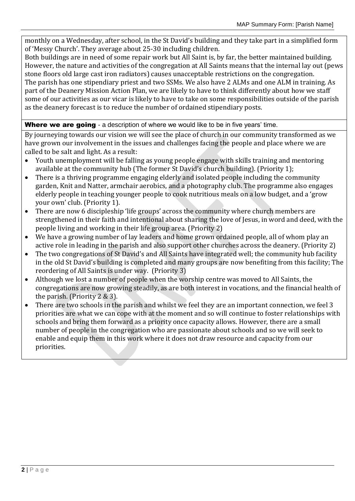monthly on a Wednesday, after school, in the St David's building and they take part in a simplified form of 'Messy Church'. They average about 25-30 including children.

Both buildings are in need of some repair work but All Saint is, by far, the better maintained building. However, the nature and activities of the congregation at All Saints means that the internal lay out (pews stone floors old large cast iron radiators) causes unacceptable restrictions on the congregation.

The parish has one stipendiary priest and two SSMs. We also have 2 ALMs and one ALM in training. As part of the Deanery Mission Action Plan, we are likely to have to think differently about how we staff some of our activities as our vicar is likely to have to take on some responsibilities outside of the parish as the deanery forecast is to reduce the number of ordained stipendiary posts.

Where we are going - a description of where we would like to be in five years' time.

By journeying towards our vision we will see the place of church in our community transformed as we have grown our involvement in the issues and challenges facing the people and place where we are called to be salt and light. As a result:

- Youth unemployment will be falling as young people engage with skills training and mentoring available at the community hub (The former St David's church building). (Priority 1);
- There is a thriving programme engaging elderly and isolated people including the community garden, Knit and Natter, armchair aerobics, and a photography club. The programme also engages elderly people in teaching younger people to cook nutritious meals on a low budget, and a 'grow your own' club. (Priority 1).
- There are now 6 discipleship 'life groups' across the community where church members are strengthened in their faith and intentional about sharing the love of Jesus, in word and deed, with the people living and working in their life group area. (Priority 2)
- We have a growing number of lay leaders and home grown ordained people, all of whom play an active role in leading in the parish and also support other churches across the deanery. (Priority 2)
- The two congregations of St David's and All Saints have integrated well; the community hub facility in the old St David's building is completed and many groups are now benefiting from this facility; The reordering of All Saints is under way. (Priority 3)
- Although we lost a number of people when the worship centre was moved to All Saints, the congregations are now growing steadily, as are both interest in vocations, and the financial health of the parish. (Priority 2 & 3).
- There are two schools in the parish and whilst we feel they are an important connection, we feel 3 priorities are what we can cope with at the moment and so will continue to foster relationships with schools and bring them forward as a priority once capacity allows. However, there are a small number of people in the congregation who are passionate about schools and so we will seek to enable and equip them in this work where it does not draw resource and capacity from our priorities.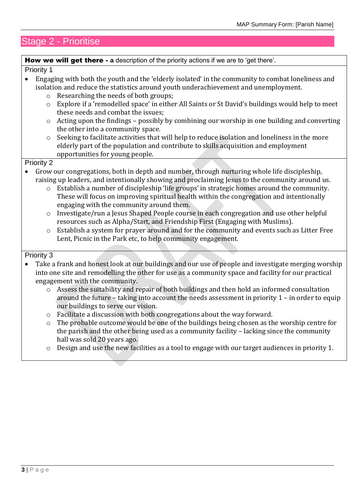## Stage 2 - Prioritise

How we will get there - **a** description of the priority actions if we are to 'get there'.

#### Priority 1

- Engaging with both the youth and the 'elderly isolated' in the community to combat loneliness and isolation and reduce the statistics around youth underachievement and unemployment.
	- o Researching the needs of both groups;
	- o Explore if a 'remodelled space' in either All Saints or St David's buildings would help to meet these needs and combat the issues;
	- $\circ$  Acting upon the findings possibly by combining our worship in one building and converting the other into a community space.
	- o Seeking to facilitate activities that will help to reduce isolation and loneliness in the more elderly part of the population and contribute to skills acquisition and employment opportunities for young people.

#### Priority 2

- Grow our congregations, both in depth and number, through nurturing whole life discipleship, raising up leaders, and intentionally showing and proclaiming Jesus to the community around us.
	- o Establish a number of discipleship 'life groups' in strategic homes around the community. These will focus on improving spiritual health within the congregation and intentionally engaging with the community around them.
	- o Investigate/run a Jesus Shaped People course in each congregation and use other helpful resources such as Alpha/Start, and Friendship First (Engaging with Muslims).
	- o Establish a system for prayer around and for the community and events such as Litter Free Lent, Picnic in the Park etc, to help community engagement.

#### Priority 3

- Take a frank and honest look at our buildings and our use of people and investigate merging worship into one site and remodelling the other for use as a community space and facility for our practical engagement with the community.
	- o Assess the suitability and repair of both buildings and then hold an informed consultation around the future – taking into account the needs assessment in priority 1 – in order to equip our buildings to serve our vision.
	- o Facilitate a discussion with both congregations about the way forward.
	- o The probable outcome would be one of the buildings being chosen as the worship centre for the parish and the other being used as a community facility – lacking since the community hall was sold 20 years ago.
	- o Design and use the new facilities as a tool to engage with our target audiences in priority 1.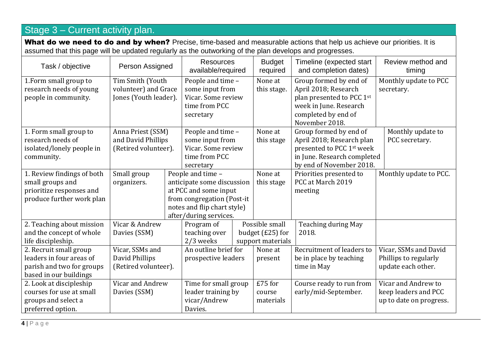# Stage 3 – Current activity plan.

What do we need to do and by when? Precise, time-based and measurable actions that help us achieve our priorities. It is assumed that this page will be updated regularly as the outworking of the plan develops and progresses.

| Task / objective                                  | Person Assigned                          |  | <b>Resources</b><br>available/required |  | <b>Budget</b><br>required | Timeline (expected start<br>and completion dates)   | Review method and<br>timing         |
|---------------------------------------------------|------------------------------------------|--|----------------------------------------|--|---------------------------|-----------------------------------------------------|-------------------------------------|
| 1. Form small group to<br>research needs of young | Tim Smith (Youth<br>volunteer) and Grace |  | People and time -<br>some input from   |  | None at<br>this stage.    | Group formed by end of<br>April 2018; Research      | Monthly update to PCC<br>secretary. |
| people in community.                              | Jones (Youth leader).                    |  | Vicar. Some review                     |  |                           | plan presented to PCC 1st                           |                                     |
|                                                   |                                          |  | time from PCC                          |  |                           | week in June. Research                              |                                     |
|                                                   |                                          |  | secretary                              |  |                           | completed by end of                                 |                                     |
|                                                   |                                          |  |                                        |  |                           | November 2018.                                      |                                     |
| 1. Form small group to<br>research needs of       | Anna Priest (SSM)<br>and David Phillips  |  | People and time -<br>some input from   |  | None at<br>this stage     | Group formed by end of<br>April 2018; Research plan | Monthly update to<br>PCC secretary. |
| isolated/lonely people in                         | (Retired volunteer).                     |  | Vicar. Some review                     |  |                           | presented to PCC 1st week                           |                                     |
| community.                                        |                                          |  | time from PCC                          |  |                           | in June. Research completed                         |                                     |
|                                                   |                                          |  | secretary                              |  |                           | by end of November 2018.                            |                                     |
| 1. Review findings of both                        | Small group                              |  | People and time -                      |  | None at                   | Priorities presented to                             | Monthly update to PCC.              |
| small groups and                                  | organizers.                              |  | anticipate some discussion             |  | this stage                | PCC at March 2019                                   |                                     |
| prioritize responses and                          |                                          |  | at PCC and some input                  |  |                           | meeting                                             |                                     |
| produce further work plan                         |                                          |  | from congregation (Post-it             |  |                           |                                                     |                                     |
|                                                   |                                          |  | notes and flip chart style)            |  |                           |                                                     |                                     |
|                                                   |                                          |  | after/during services.                 |  |                           |                                                     |                                     |
| 2. Teaching about mission                         | Vicar & Andrew                           |  | Program of                             |  | Possible small            | Teaching during May                                 |                                     |
| and the concept of whole                          | Davies (SSM)                             |  | teaching over                          |  | budget (£25) for          | 2018.                                               |                                     |
| life discipleship.                                |                                          |  | 2/3 weeks<br>support materials         |  |                           |                                                     |                                     |
| 2. Recruit small group                            | Vicar, SSMs and                          |  | An outline brief for                   |  | None at                   | Recruitment of leaders to                           | Vicar, SSMs and David               |
| leaders in four areas of                          | David Phillips                           |  | prospective leaders                    |  | present                   | be in place by teaching                             | Phillips to regularly               |
| parish and two for groups                         | (Retired volunteer).                     |  |                                        |  |                           | time in May                                         | update each other.                  |
| based in our buildings                            |                                          |  |                                        |  |                           |                                                     |                                     |
| 2. Look at discipleship                           | Vicar and Andrew                         |  | Time for small group                   |  | £75 for                   | Course ready to run from                            | Vicar and Andrew to                 |
| courses for use at small                          | Davies (SSM)                             |  | leader training by                     |  | course                    | early/mid-September.                                | keep leaders and PCC                |
| groups and select a                               |                                          |  | vicar/Andrew                           |  | materials                 |                                                     | up to date on progress.             |
| preferred option.                                 |                                          |  | Davies.                                |  |                           |                                                     |                                     |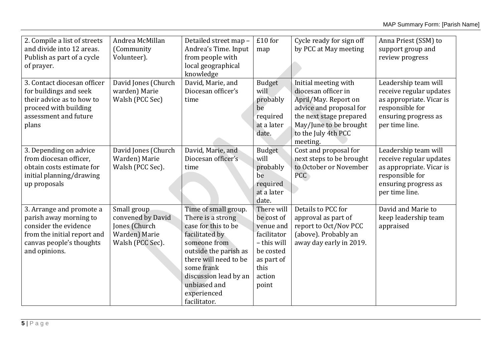| 2. Compile a list of streets<br>and divide into 12 areas.<br>Publish as part of a cycle<br>of prayer.                                                   | Andrea McMillan<br>(Community<br>Volunteer).                                           | Detailed street map -<br>Andrea's Time. Input<br>from people with<br>local geographical<br>knowledge                                                                                                                                       | £10 for<br>map                                                                                                            | Cycle ready for sign off<br>by PCC at May meeting                                                                                                                                      | Anna Priest (SSM) to<br>support group and<br>review progress                                                                             |
|---------------------------------------------------------------------------------------------------------------------------------------------------------|----------------------------------------------------------------------------------------|--------------------------------------------------------------------------------------------------------------------------------------------------------------------------------------------------------------------------------------------|---------------------------------------------------------------------------------------------------------------------------|----------------------------------------------------------------------------------------------------------------------------------------------------------------------------------------|------------------------------------------------------------------------------------------------------------------------------------------|
| 3. Contact diocesan officer<br>for buildings and seek<br>their advice as to how to<br>proceed with building<br>assessment and future<br>plans           | David Jones (Church<br>warden) Marie<br>Walsh (PCC Sec)                                | David, Marie, and<br>Diocesan officer's<br>time                                                                                                                                                                                            | <b>Budget</b><br>will<br>probably<br>be<br>required<br>at a later<br>date.                                                | Initial meeting with<br>diocesan officer in<br>April/May. Report on<br>advice and proposal for<br>the next stage prepared<br>May/June to be brought<br>to the July 4th PCC<br>meeting. | Leadership team will<br>receive regular updates<br>as appropriate. Vicar is<br>responsible for<br>ensuring progress as<br>per time line. |
| 3. Depending on advice<br>from diocesan officer,<br>obtain costs estimate for<br>initial planning/drawing<br>up proposals                               | David Jones (Church<br>Warden) Marie<br>Walsh (PCC Sec).                               | David, Marie, and<br>Diocesan officer's<br>time                                                                                                                                                                                            | <b>Budget</b><br>will<br>probably<br>be<br>required<br>at a later<br>date.                                                | Cost and proposal for<br>next steps to be brought<br>to October or November<br>PCC                                                                                                     | Leadership team will<br>receive regular updates<br>as appropriate. Vicar is<br>responsible for<br>ensuring progress as<br>per time line. |
| 3. Arrange and promote a<br>parish away morning to<br>consider the evidence<br>from the initial report and<br>canvas people's thoughts<br>and opinions. | Small group<br>convened by David<br>Jones (Church<br>Warden) Marie<br>Walsh (PCC Sec). | Time of small group.<br>There is a strong<br>case for this to be<br>facilitated by<br>someone from<br>outside the parish as<br>there will need to be<br>some frank<br>discussion lead by an<br>unbiased and<br>experienced<br>facilitator. | There will<br>be cost of<br>venue and<br>facilitator<br>- this will<br>be costed<br>as part of<br>this<br>action<br>point | Details to PCC for<br>approval as part of<br>report to Oct/Nov PCC<br>(above). Probably an<br>away day early in 2019.                                                                  | David and Marie to<br>keep leadership team<br>appraised                                                                                  |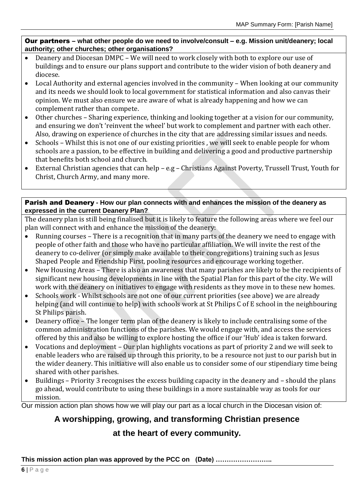#### Our partners – **what other people do we need to involve/consult – e.g. Mission unit/deanery; local authority; other churches; other organisations?**

- Deanery and Diocesan DMPC We will need to work closely with both to explore our use of buildings and to ensure our plans support and contribute to the wider vision of both deanery and diocese.
- Local Authority and external agencies involved in the community When looking at our community and its needs we should look to local government for statistical information and also canvas their opinion. We must also ensure we are aware of what is already happening and how we can complement rather than compete.
- Other churches Sharing experience, thinking and looking together at a vision for our community, and ensuring we don't 'reinvent the wheel' but work to complement and partner with each other. Also, drawing on experience of churches in the city that are addressing similar issues and needs.
- Schools Whilst this is not one of our existing priorities, we will seek to enable people for whom schools are a passion, to be effective in building and delivering a good and productive partnership that benefits both school and church.
- External Christian agencies that can help e.g Christians Against Poverty, Trussell Trust, Youth for Christ, Church Army, and many more.

#### Parish and Deanery **- How our plan connects with and enhances the mission of the deanery as expressed in the current Deanery Plan?**

The deanery plan is still being finalised but it is likely to feature the following areas where we feel our plan will connect with and enhance the mission of the deanery:

- Running courses There is a recognition that in many parts of the deanery we need to engage with people of other faith and those who have no particular affiliation. We will invite the rest of the deanery to co-deliver (or simply make available to their congregations) training such as Jesus Shaped People and Friendship First, pooling resources and encourage working together.
- New Housing Areas There is also an awareness that many parishes are likely to be the recipients of significant new housing developments in line with the Spatial Plan for this part of the city. We will work with the deanery on initiatives to engage with residents as they move in to these new homes.
- Schools work Whilst schools are not one of our current priorities (see above) we are already helping (and will continue to help) with schools work at St Philips C of E school in the neighbouring St Philips parish.
- Deanery office The longer term plan of the deanery is likely to include centralising some of the common administration functions of the parishes. We would engage with, and access the services offered by this and also be willing to explore hosting the office if our 'Hub' idea is taken forward.
- Vocations and deployment Our plan highlights vocations as part of priority 2 and we will seek to enable leaders who are raised up through this priority, to be a resource not just to our parish but in the wider deanery. This initiative will also enable us to consider some of our stipendiary time being shared with other parishes.
- Buildings Priority 3 recognises the excess building capacity in the deanery and should the plans go ahead, would contribute to using these buildings in a more sustainable way as tools for our mission.

Our mission action plan shows how we will play our part as a local church in the Diocesan vision of:

# **A worshipping, growing, and transforming Christian presence**

## **at the heart of every community.**

**This mission action plan was approved by the PCC on (Date) ……………………..**